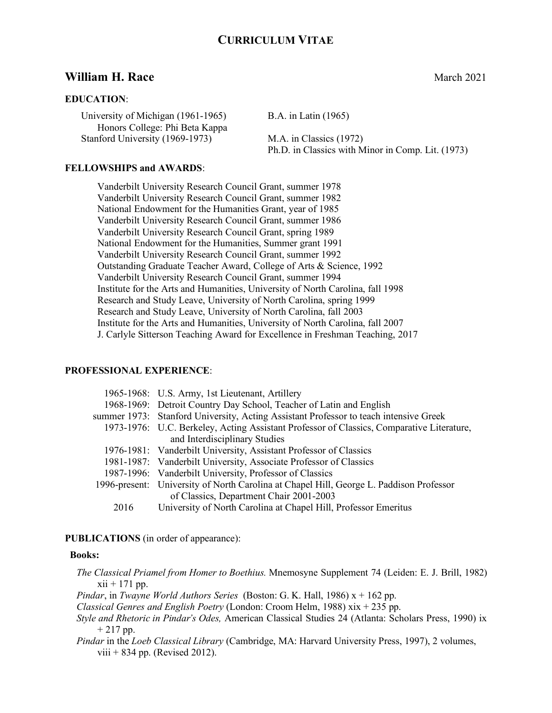# **William H. Race** March 2021

#### **EDUCATION**:

University of Michigan (1961-1965) B.A. in Latin (1965) Honors College: Phi Beta Kappa Stanford University (1969-1973) M.A. in Classics (1972)

Ph.D. in Classics with Minor in Comp. Lit. (1973)

#### **FELLOWSHIPS and AWARDS**:

Vanderbilt University Research Council Grant, summer 1978 Vanderbilt University Research Council Grant, summer 1982 National Endowment for the Humanities Grant, year of 1985 Vanderbilt University Research Council Grant, summer 1986 Vanderbilt University Research Council Grant, spring 1989 National Endowment for the Humanities, Summer grant 1991 Vanderbilt University Research Council Grant, summer 1992 Outstanding Graduate Teacher Award, College of Arts & Science, 1992 Vanderbilt University Research Council Grant, summer 1994 Institute for the Arts and Humanities, University of North Carolina, fall 1998 Research and Study Leave, University of North Carolina, spring 1999 Research and Study Leave, University of North Carolina, fall 2003 Institute for the Arts and Humanities, University of North Carolina, fall 2007 J. Carlyle Sitterson Teaching Award for Excellence in Freshman Teaching, 2017

### **PROFESSIONAL EXPERIENCE**:

| 1965-1968: U.S. Army, 1st Lieutenant, Artillery                                           |
|-------------------------------------------------------------------------------------------|
| 1968-1969: Detroit Country Day School, Teacher of Latin and English                       |
| summer 1973: Stanford University, Acting Assistant Professor to teach intensive Greek     |
| 1973-1976: U.C. Berkeley, Acting Assistant Professor of Classics, Comparative Literature, |
| and Interdisciplinary Studies                                                             |
| 1976-1981: Vanderbilt University, Assistant Professor of Classics                         |
| 1981-1987: Vanderbilt University, Associate Professor of Classics                         |
| 1987-1996: Vanderbilt University, Professor of Classics                                   |
| 1996-present: University of North Carolina at Chapel Hill, George L. Paddison Professor   |
| of Classics, Department Chair 2001-2003                                                   |
| University of North Carolina at Chapel Hill, Professor Emeritus                           |
|                                                                                           |

### **PUBLICATIONS** (in order of appearance):

### **Books:**

*The Classical Priamel from Homer to Boethius.* Mnemosyne Supplement 74 (Leiden: E. J. Brill, 1982)  $xii + 171$  pp. *Pindar*, in *Twayne World Authors Series* (Boston: G. K. Hall, 1986) x + 162 pp.

*Classical Genres and English Poetry* (London: Croom Helm, 1988) xix + 235 pp.

- *Style and Rhetoric in Pindar's Odes,* American Classical Studies 24 (Atlanta: Scholars Press, 1990) ix  $+ 217$  pp.
- *Pindar* in the *Loeb Classical Library* (Cambridge, MA: Harvard University Press, 1997), 2 volumes, viii  $+ 834$  pp. (Revised 2012).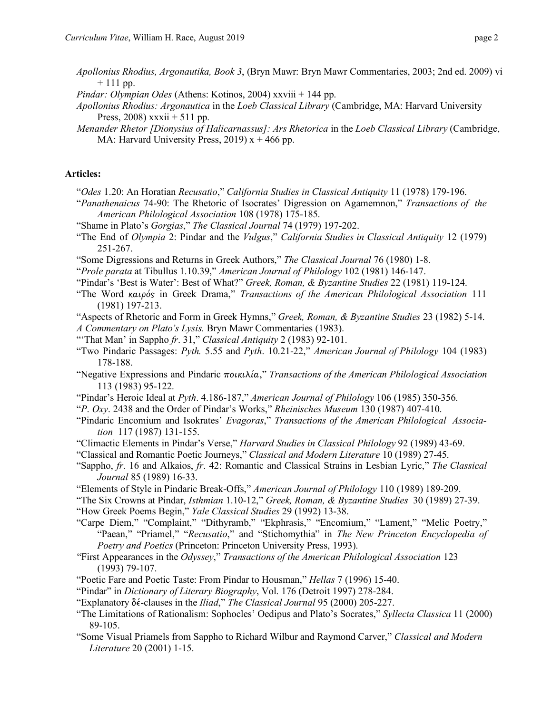- *Apollonius Rhodius, Argonautika, Book 3*, (Bryn Mawr: Bryn Mawr Commentaries, 2003; 2nd ed. 2009) vi  $+ 111$  pp.
- *Pindar: Olympian Odes* (Athens: Kotinos, 2004) xxviii + 144 pp.
- *Apollonius Rhodius: Argonautica* in the *Loeb Classical Library* (Cambridge, MA: Harvard University Press,  $2008$ ) xxxii + 511 pp.
- *Menander Rhetor [Dionysius of Halicarnassus]: Ars Rhetorica* in the *Loeb Classical Library* (Cambridge, MA: Harvard University Press, 2019)  $x + 466$  pp.

#### **Articles:**

- "*Odes* 1.20: An Horatian *Recusatio*," *California Studies in Classical Antiquity* 11 (1978) 179-196.
- "*Panathenaicus* 74-90: The Rhetoric of Isocrates' Digression on Agamemnon," *Transactions of the American Philological Association* 108 (1978) 175-185.
- "Shame in Plato's *Gorgias*," *The Classical Journal* 74 (1979) 197-202.
- "The End of *Olympia* 2: Pindar and the *Vulgus*," *California Studies in Classical Antiquity* 12 (1979) 251-267.
- "Some Digressions and Returns in Greek Authors," *The Classical Journal* 76 (1980) 1-8.
- "*Prole parata* at Tibullus 1.10.39," *American Journal of Philology* 102 (1981) 146-147.
- "Pindar's 'Best is Water': Best of What?" *Greek, Roman, & Byzantine Studies* 22 (1981) 119-124.
- "The Word καιρός in Greek Drama," *Transactions of the American Philological Association* 111 (1981) 197-213.
- "Aspects of Rhetoric and Form in Greek Hymns," *Greek, Roman, & Byzantine Studies* 23 (1982) 5-14. *A Commentary on Plato's Lysis.* Bryn Mawr Commentaries (1983).
- "'That Man' in Sappho *fr*. 31," *Classical Antiquity* 2 (1983) 92-101.
- "Two Pindaric Passages: *Pyth.* 5.55 and *Pyth*. 10.21-22," *American Journal of Philology* 104 (1983) 178-188.
- "Negative Expressions and Pindaric ποικιλία," *Transactions of the American Philological Association*  113 (1983) 95-122.
- "Pindar's Heroic Ideal at *Pyth*. 4.186-187," *American Journal of Philology* 106 (1985) 350-356.
- "*P*. *Oxy*. 2438 and the Order of Pindar's Works," *Rheinisches Museum* 130 (1987) 407-410.
- "Pindaric Encomium and Isokrates' *Evagoras*," *Transactions of the American Philological Association* 117 (1987) 131-155.
- "Climactic Elements in Pindar's Verse," *Harvard Studies in Classical Philology* 92 (1989) 43-69.
- "Classical and Romantic Poetic Journeys," *Classical and Modern Literature* 10 (1989) 27-45.
- "Sappho, *fr*. 16 and Alkaios, *fr*. 42: Romantic and Classical Strains in Lesbian Lyric," *The Classical Journal* 85 (1989) 16-33.
- "Elements of Style in Pindaric Break-Offs," *American Journal of Philology* 110 (1989) 189-209.
- "The Six Crowns at Pindar, *Isthmian* 1.10-12," *Greek, Roman, & Byzantine Studies* 30 (1989) 27-39. "How Greek Poems Begin," *Yale Classical Studies* 29 (1992) 13-38.
- "Carpe Diem," "Complaint," "Dithyramb," "Ekphrasis," "Encomium," "Lament," "Melic Poetry," "Paean," "Priamel," "*Recusatio*," and "Stichomythia" in *The New Princeton Encyclopedia of Poetry and Poetics* (Princeton: Princeton University Press, 1993).
- "First Appearances in the *Odyssey*," *Transactions of the American Philological Association* 123 (1993) 79-107.
- "Poetic Fare and Poetic Taste: From Pindar to Housman," *Hellas* 7 (1996) 15-40.
- "Pindar" in *Dictionary of Literary Biography*, Vol. 176 (Detroit 1997) 278-284.
- "Explanatory δέ-clauses in the *Iliad*," *The Classical Journal* 95 (2000) 205-227.
- "The Limitations of Rationalism: Sophocles' Oedipus and Plato's Socrates," *Syllecta Classica* 11 (2000) 89-105.
- "Some Visual Priamels from Sappho to Richard Wilbur and Raymond Carver," *Classical and Modern Literature* 20 (2001) 1-15.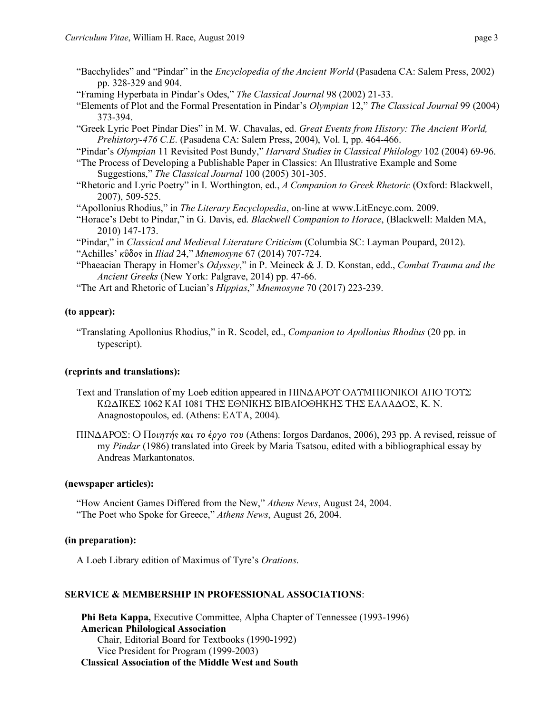- "Bacchylides" and "Pindar" in the *Encyclopedia of the Ancient World* (Pasadena CA: Salem Press, 2002) pp. 328-329 and 904.
- "Framing Hyperbata in Pindar's Odes," *The Classical Journal* 98 (2002) 21-33.
- "Elements of Plot and the Formal Presentation in Pindar's *Olympian* 12," *The Classical Journal* 99 (2004) 373-394.
- "Greek Lyric Poet Pindar Dies" in M. W. Chavalas, ed. *Great Events from History: The Ancient World, Prehistory-476 C.E*. (Pasadena CA: Salem Press, 2004), Vol. I, pp. 464-466.
- "Pindar's *Olympian* 11 Revisited Post Bundy," *Harvard Studies in Classical Philology* 102 (2004) 69-96.
- "The Process of Developing a Publishable Paper in Classics: An Illustrative Example and Some Suggestions," *The Classical Journal* 100 (2005) 301-305.
- "Rhetoric and Lyric Poetry" in I. Worthington, ed., *A Companion to Greek Rhetoric* (Oxford: Blackwell, 2007), 509-525.
- "Apollonius Rhodius," in *The Literary Encyclopedia*, on-line at www.LitEncyc.com. 2009.
- "Horace's Debt to Pindar," in G. Davis, ed. *Blackwell Companion to Horace*, (Blackwell: Malden MA, 2010) 147-173.
- "Pindar," in *Classical and Medieval Literature Criticism* (Columbia SC: Layman Poupard, 2012). "Achilles' κῦδος in *Iliad* 24," *Mnemosyne* 67 (2014) 707-724.
- "Phaeacian Therapy in Homer's *Odyssey*," in P. Meineck & J. D. Konstan, edd., *Combat Trauma and the Ancient Greeks* (New York: Palgrave, 2014) pp. 47-66.
- "The Art and Rhetoric of Lucian's *Hippias*," *Mnemosyne* 70 (2017) 223-239.

### **(to appear):**

"Translating Apollonius Rhodius," in R. Scodel, ed., *Companion to Apollonius Rhodius* (20 pp. in typescript).

# **(reprints and translations):**

- Text and Translation of my Loeb edition appeared in ΠΙΝΔΑΡΟΥ ΟΛΥΜΠΙΟΝΙΚΟΙ ΑΠΟ ΤΟΥΣ ΚΩΔΙΚΕΣ 1062 ΚΑΙ 1081 ΤΗΣ ΕΘΝΙΚΗΣ ΒΙΒΛΙΟΘΗΚΗΣ ΤΗΣ ΕΛΛΑΔΟΣ, K. N. Anagnostopoulos, ed. (Athens: ΕΛΤΑ, 2004).
- ΠΙΝΔΑΡΟΣ: Ο Ποιητής και το έργο του (Athens: Iorgos Dardanos, 2006), 293 pp. A revised, reissue of my *Pindar* (1986) translated into Greek by Maria Tsatsou, edited with a bibliographical essay by Andreas Markantonatos.

### **(newspaper articles):**

"How Ancient Games Differed from the New," *Athens News*, August 24, 2004. "The Poet who Spoke for Greece," *Athens News*, August 26, 2004.

# **(in preparation):**

A Loeb Library edition of Maximus of Tyre's *Orations*.

# **SERVICE & MEMBERSHIP IN PROFESSIONAL ASSOCIATIONS**:

**Phi Beta Kappa,** Executive Committee, Alpha Chapter of Tennessee (1993-1996) **American Philological Association** Chair, Editorial Board for Textbooks (1990-1992) Vice President for Program (1999-2003) **Classical Association of the Middle West and South**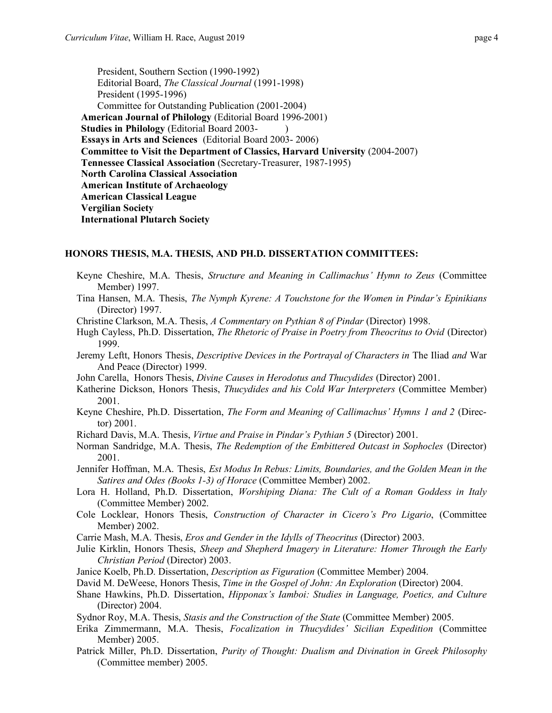President, Southern Section (1990-1992) Editorial Board, *The Classical Journal* (1991-1998) President (1995-1996) Committee for Outstanding Publication (2001-2004) **American Journal of Philology** (Editorial Board 1996-2001) **Studies in Philology** (Editorial Board 2003- ) **Essays in Arts and Sciences** (Editorial Board 2003- 2006) **Committee to Visit the Department of Classics, Harvard University** (2004-2007) **Tennessee Classical Association** (Secretary-Treasurer, 1987-1995) **North Carolina Classical Association American Institute of Archaeology American Classical League Vergilian Society International Plutarch Society**

#### **HONORS THESIS, M.A. THESIS, AND PH.D. DISSERTATION COMMITTEES:**

- Keyne Cheshire, M.A. Thesis, *Structure and Meaning in Callimachus' Hymn to Zeus* (Committee Member) 1997.
- Tina Hansen, M.A. Thesis, *The Nymph Kyrene: A Touchstone for the Women in Pindar's Epinikians* (Director) 1997.
- Christine Clarkson, M.A. Thesis, *A Commentary on Pythian 8 of Pindar* (Director) 1998.
- Hugh Cayless, Ph.D. Dissertation, *The Rhetoric of Praise in Poetry from Theocritus to Ovid* (Director) 1999.
- Jeremy Leftt, Honors Thesis, *Descriptive Devices in the Portrayal of Characters in* The Iliad *and* War And Peace (Director) 1999.
- John Carella, Honors Thesis, *Divine Causes in Herodotus and Thucydides* (Director) 2001.
- Katherine Dickson, Honors Thesis, *Thucydides and his Cold War Interpreters* (Committee Member) 2001.
- Keyne Cheshire, Ph.D. Dissertation, *The Form and Meaning of Callimachus' Hymns 1 and 2* (Director) 2001.
- Richard Davis, M.A. Thesis, *Virtue and Praise in Pindar's Pythian 5* (Director) 2001.
- Norman Sandridge, M.A. Thesis, *The Redemption of the Embittered Outcast in Sophocles* (Director) 2001.
- Jennifer Hoffman, M.A. Thesis, *Est Modus In Rebus: Limits, Boundaries, and the Golden Mean in the Satires and Odes (Books 1-3) of Horace* (Committee Member) 2002.
- Lora H. Holland, Ph.D. Dissertation, *Worshiping Diana: The Cult of a Roman Goddess in Italy* (Committee Member) 2002.
- Cole Locklear, Honors Thesis, *Construction of Character in Cicero's Pro Ligario*, (Committee Member) 2002.
- Carrie Mash, M.A. Thesis, *Eros and Gender in the Idylls of Theocritus* (Director) 2003.
- Julie Kirklin, Honors Thesis, *Sheep and Shepherd Imagery in Literature: Homer Through the Early Christian Period* (Director) 2003.
- Janice Koelb, Ph.D. Dissertation, *Description as Figuration* (Committee Member) 2004.
- David M. DeWeese, Honors Thesis, *Time in the Gospel of John: An Exploration* (Director) 2004.
- Shane Hawkins, Ph.D. Dissertation, *Hipponax's Iamboi: Studies in Language, Poetics, and Culture* (Director) 2004.
- Sydnor Roy, M.A. Thesis, *Stasis and the Construction of the State* (Committee Member) 2005.
- Erika Zimmermann, M.A. Thesis, *Focalization in Thucydides' Sicilian Expedition* (Committee Member) 2005.
- Patrick Miller, Ph.D. Dissertation, *Purity of Thought: Dualism and Divination in Greek Philosophy* (Committee member) 2005.